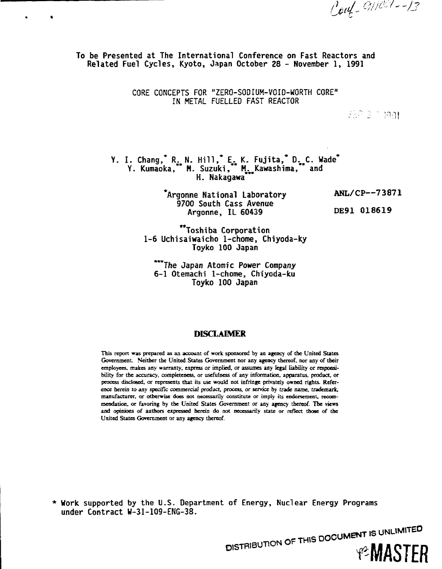Coup 9/1001-13

**To be Presented at The International Conference on Fast Reactors and Related Fuel Cycles, Kyoto, Japan October 28 - Hovember 1, 1991**

> **CORE CONCEPTS FOR "ZERO-SODIUM-VOID-WORTH CORE" IN METAL FUELLED FAST REACTOR**

> > 258 3 7 1901

Y. I. Chang, R<sub>A</sub> N. Hill, E<sub>A</sub> K. Fujita, D. C. Wade<sup>\*</sup> Y. Kumaoka, **\*\*** M. Suzuki, **\*\*** M<sub>int</sub>Kawashima, **\*\*** and **H. Nakagawa**\*

> **\*Argonne National Laboratory ANL/CP—73871 9700 South Cass Avenue Argonne, IL 60439 DE91 018619**

"Toshiba Corporation 1-6 Uchisaiwaicho 1-chome, Chiyoda-ky Toyko 100 Japan

\*\*\*The Japan Atomic Power Company 6-1 Otemachi 1-chome, Chiyoda-ku Toyko 100 Japan

### **DISCLAIMER**

**This report was prepared as an account of work sponsored by an agency of the United States Government. Neither the United States Government nor any agency thereof, nor any of their employees, makes any warranty, express or implied, or assumes any regal liability or responsibility for the accuracy, completeness, or usefulness of any information, apparatus, product, or process disclosed, or represents that its use would not infringe privately owned rights. Reference** *herein to any specific commercial product,* **process, or service by trade name,** *trademark,* **manufacturer, or otherwise does not necessarily constitute or imply its endorsement, recommendation, or favoring by the United States Government or any agency thereof. The views and opinions of authors expressed herein do not necessarily state or reflect those of the United States Government or any agency thereof.**

**\* Work supported by the U.S. Department of Energy, Nuclear Energy Programs under Contract W-31-1Q9-ENG-38.**

> DISTRIBUTION OF THIS DOCUMENT IS UNLIMITED **PEMASTER**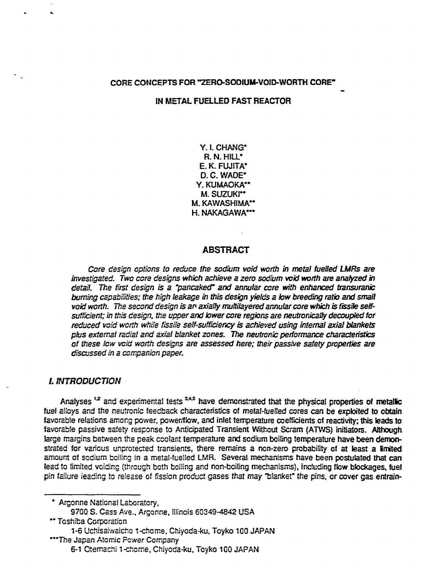## CORE CONCEPTS FOR "ZERO-SODIUM-VOID-WORTH CORE"

### IN METAL FUELLED FAST REACTOR

Y. I. CHANG\* **R. N. HILL"** E. K. FUJfTA\* D. C. WADE" Y. KUMAOKA" M. SUZUKI<sup>\*\*</sup> M. KAWASHIMA" H. NAKAGAWA\*\*\*

#### **ABSTRACT**

Core design options to reduce the sodium void worth in metal fuelled LMRs are investigated. Two core designs which achieve a zero sodium void worth are analyzed in detail. The first design is a "pancaked" and annular core with enhanced fransuranic burning Capabilities; the high leakage in this design yields a low breeding ratio and small void worth. The second design is an axially muttilayered annular core which is fissile selfsufficient; in this design, the upper and lower core regions are neutronically decoupled for reduced void worth while fissile self-sufficiency is achieved using internal axial blankets plus external radial and axial blanket zones. The neutronic performance characteristics of these low void worth designs are assessed here; their passive safety properties are discussed in a companion paper.

#### L INTRODUCTION

Analyses<sup>12</sup> and experimental tests<sup>3,4,5</sup> have demonstrated that the physical properties of metallic fuel alloys and the neutronic feedback characteristics of metal-fuelled cores can be exploited to obtain favorable relations among power, powetfflow, and inlet temperature coefficients of reactivity; this leads to favorabfe passive safety response to Anticipated Transient Without Scram (ATWS) initiators. Although large margins between the peak coolant temperature and sodium boiling temperature have been demonstrated for various unprotected transients, there remains a non-zero probability of at least a limited amount of sodium boiling in a metal-fuelled LMR. Several mechanisms have been postulated that can lead to limited voiding (through both boiling and non-boiling mechanisms), including flow blockages, fuel pin failure leading to release of fission product gases that may "blanket" the pins, or cover gas entrain-

\* Argonne National Laboratory,

- S700 S. Cass Ave.. Argonne, Illinois 60349-4842 USA
- \*\* Toshiba Corporation

\*\*\*The Japan Atomic Power Company

<sup>1-6</sup> Uchisaiwaicho 1-chome, Chiyoda-ku, Toyko 100 JAPAN

<sup>6-1</sup> Otemachi 1-chome, Chtyoda-ku, Toyko 100 JAPAN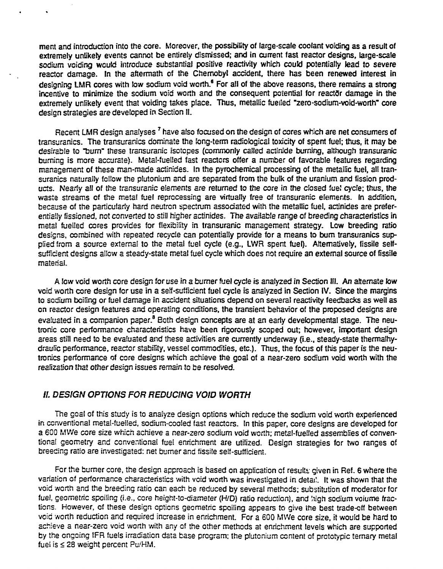ment and introduction into the core. Moreover, the possibility of large-scale coolant voiding as a result of extremely unlikely events cannot be entirely dismissed; and in current fast reactor designs, large-scale sodium voiding would introduce substantial positive reactivity which could potentially lead to severe reactor damage. In the aftermath of the Chernobyl accident, there has been renewed interest in designing LMR cores with low sodium void worth.<sup>6</sup> For all of the above reasons, there remains a strong incentive to minimize the sodium void worth and the consequent potential for reactor damage in the extremely unlikely event that voiding takes place. Thus, metallic fuelled "zero-sodium-void-worth" core design strategies are developed in Section II.

Recent LMR design analyses  $^7$  have also focused on the design of cores which are net consumers of transuranics. The transuranics dominate the fong-term radiological toxicity of spent fuel; thus, it may be desirable to "burn" these transuranic isotopes (commonly called actinide burning, although transuranic burning is more accurate). Metal-fuelled fast reactors offer a number of favorable features regarding management of these man-made actinides. In the pyrochemical processing of the metallic fuel, alt transuranics naturally follow the ptutonium and are separated from the bulk of the uranium and fission products. Nearly all of the transuranic elements are returned to the core in the closed fue! cycle; thus, the waste streams of the metal fuel reprocessing are virtually free of transuranic elements. In addition, because of the particularly hard neutron spectrum associated with the metallic fuel, actinides are preferentially fissioned, not converted to stiil higher actinides. The available range of breeding characteristics in meta! fuelled cores provides for flexibility in transuranic management strategy. Low breeding ratio designs, combined with repeated recycle can potentially provide for a means to bum transuranics supplied from a source external to the metal fuel cycle (e.g., LWR spent fuel). Alternatively, fissile selfsufficient designs allow a steady-state metal fuel cycle which does not require an external source of fissile material.

A tow void worth core design for use in a burner fuel cycle is analyzed in Section HI. An alternate tow void worth core design for use in a self-sufficient fuel cycle is analyzed in Section IV. Since the margins to sodium boiling or fuel damage in accident situations depend on several reactivity feedbacks as well as on reactor design features and operating conditions, the transient behavior of the proposed designs are evaluated in a companion paper.<sup>8</sup> Both design concepts are at an early developmental stage. The neutronic core performance characteristics have been rigorously scoped out; however, important design areas still need to be evaluated and these activities are currently underway (i.e., steady-state thermalhydrautlc performance, reactor stability, vessel commodities, etc.). Thus, the focus of this paper is the neutronics performance of core designs which achieve the goal of a near-zero sodium void worth with the realization that other design issues remain to be resolved.

# //. DESIGN OPTIONS FOR REDUCING **VOID WORTH**

The goal of this study is to analyze design options which reduce the sodium void worth experienced in conventional metal-fuelled, sodium-cooled fast reactors. In this paper, core designs are developed for a 600 MWe core size which achieve a near-zero sodium void worth; metal-fuelled assemblies of conventional geometry and conventional fuel enrichment are utilized. Design strategies for two ranges of breeding ratio are investigated: net burner and fissile self-sufficient.

For the burner core, the design approach is based on application of results; given in Ref. 6 where the variation of performance characteristics with void worth was investigated in detai!. It was shown that the void worth and the breeding ratio can each be reduced by several methods; substitution of moderator for fuel, geometric spoiling (i.e., core height-to-diameter (H/D) ratio reduction), and high sodium voiume fractions. However, of these design options geometric spoiling appears to give the best trade-off between void worth reduction and required increase in enrichment. For a 600 MWe core size, it would be hard to achieve a near-zero void worth with any of the other methods at enrichment leveis which are supported by the ongoing IFR fuels irradiation data base program; the plutcniurn content of prototypic ternary metal fuel is < 28 weight percent Pu/HM.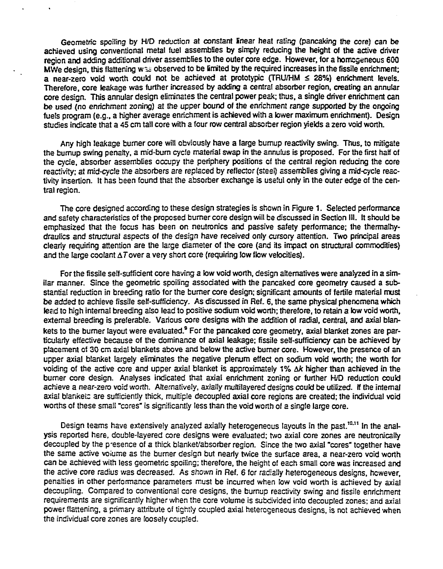Geometric spoiling by H/D reduction at constant linear heat rating (pancaking the core) can be achieved using conventional metal fuel assemblies by simply reducing the height of the active driver region and adding additional driver assemblies to the outer core edge. However, for a homogeneous 600 MWe design, this flattening was observed to be limited by the required increases in the fissile enrichment; a near-zero void worth could not be achieved at prototypic (TRU/HM  $\leq$  28%) enrichment levels. Therefore, core leakage was further increased by adding a central absorber region, creating an annular core design. This annular design eliminates the central power peak; thus, a single driver enrichment can be used (no enrichment zoning) at the upper bound of the enrichment range supported by the ongoing fuels program (e.g., a higher average enrichment is achieved with a lower maximum enrichment). Design studies indicate that a 45 cm tall core with a four row central absorber region yields a zero void worth.

Any high leakage burner core will obviously have a large bumup reactivity swing. Thus, to mitigate the bumup swing penalty, a mid-bum cycfe material swap in the annulus is proposed. For the first half of the cycle, absorber assemblies occupy the periphery positions cf the central region reducing the core reactivity; at mid-cycle the absorbers are replaced by reflector (steel) assemblies giving a mid-cycle reactivity insertion. It has been found that the absorber exchange is useful only in the outer edge of the central region.

The core designed according to these design strategies is shown in Figure 1. Selected performance and safety characteristics of the proposed burner core design wiil be discussed in Section III. It should be emphasized that the focus has been on neutronics and passive safety performance; the thermalhydraulics and structural aspects of the design have received only cursory attention. Two principal areas clearly requiring attention are the large diameter of the core (and its impact on structural commodities) and the large coolant  $\Delta T$  over a very short core (requiring low flow velocities).

For the fissile self-sufficient core having a low void worth, design alternatives were analyzed in a simitar manner. Since the geometric spoiling associated with the pancaked core geometry caused a substantial reduction in breeding ratio for the burner core design; significant amounts of fertile material must be added to achieve fissile self-sufficiency. As discussed in Ref. 6, the same physical phenomena which lead to high internal breeding also lead to positive sodium void worth; therefore, to retain a low void worth, external breeding is preferable. Various core designs with the addition of radial, central, and axial blankets to the burner layout were evaluated.<sup>9</sup> For the pancaked core geometry, axial blanket zones are particularly effective because of the dominance of axial leakage; fissile self-sufficiency can be achieved by placement of 30 cm axial blankets above and below the active burner core. However, the presence of an upper axial blanket largely eliminates the negative plenum effect on sodium void worth; the worth for voiding of the active core and upper axial blanket is approximately 1% Ak higher than achieved in the burner core design. Analyses indicated that axial enrichment zoning or further H/D reduction coukj achieve a near-zero void worth. Alternatively, axially multilayered designs could be utilized, ff the internal axial blanket: are sufficiently thick, multiple decoupled axial core regions are created; the individual void worths of these small "cores" is significantly less than the void worth of a single large core.

Design teams have extensively analyzed axially heterogeneous layouts in the past.<sup>10.11</sup> In the analysis reported here, double-layered core designs were evaluated; two axial core zones are neutronicaily decoupled by the presence of a thick blanket/absorber region. Since the two axial "cores' together have the same active voiume as the burner design but nearly twice the surface area, a near-zero void worth can be achieved with less geometric spoiling; therefore, the height of each small core was increased and the active core radius was decreased. As shown in Ref. 6 for radially heterogeneous designs, however, penalties in other performance parameters must be incurred when tow void worth is achieved by axial decoupling. Compared to conventional core designs, the burnup reactivity swing and fissile enrichment requirements are significantly higher when the core volume is subdivided into decoupled zones; and axial power flattening, a primary attribute of tightly coupled axial heterogeneous designs, is not achieved when the individual core zones are loosely coupled.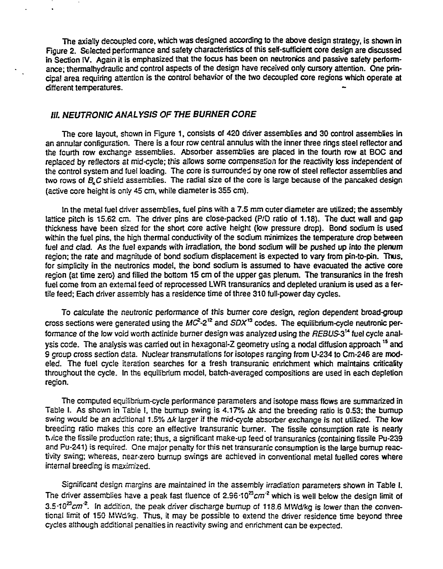The axially decoupled core, which was designed according to the above design strategy, is shown in Figure 2. Selected performance and safety characteristics of this self-sufficient core design are discussed in Section IV. Again it is emphasized that the focus has been on neutronics and passive safety performance; thermalhydraulic and control aspects of the design have received only cursory attention. One principal area requiring attention is the control behavior of the two decoupled core regions which operate at different temperatures.

# **///. NEUTRONIC ANALYSIS OF THE BURNER CORE**

The core layout, shown in Figure 1, consists of 420 driver assemblies and 30 control assemblies in an annular configuration. Tnere is a four row central annulus with the inner three rings steel reflector and the fourth row exchange assemblies. Absorber assemblies are placed in the fourth row at BOC and replaced by reflectors at mid-cycle; this allows some compensation for the reactivity toss independent of the control system and fuel loading. The core is surrounded by one row of steel reflector assemblies and two rows of  $B<sub>i</sub>C$  shield assemblies. The radial size of the core is large because of the pancaked design (active core height is only 45 cm, white diameter is 355 cm).

In the metal fuel driver assemblies, fuel pins with a 7.5 mm cuter diameter are utilized; the assembly lattice pitch is 15.62 cm. The driver pins are ctose-packed (P/D ratio of **1.18).** The duct wall and gap thickness have been sized for the short core active height (few pressure drop). Bond sodium is used within the fuel pins, the high thermal conductivity of the sodium minimizes the temperature drop between fuel and clad. As the fuel expands with irradiation, the bond sodium will be pushed up into the plenum region; the rate and magnitude of bond sodium displacement is expected to vary from pin-to-pin. Thus, for simplicity in the neutronics model, the bond sodium is assumed to have evacuated the active core region (at time zero) and filled the bottom 15 cm of the upper gas plenum. The transuranics in the fresh fuel come from an external feed of reprocessed LWR transuranics and depleted uranium is used as a fertile feed; Each driver assembly has a residence time of three 310 full-power day cycles.

To calculate the neutronic performance of this burner core design, region dependent broad-group cross sections were generated using the  $MC^2-2^{12}$  and  $SDX^{13}$  codes. The equilibrium-cycle neutronic performance of the low void worth actinide burner design was analyzed using the REBUS-3<sup>14</sup> fuel cycle analysis code. The analysis was carried out in hexagonal-Z geometry using a nodal diffusion approach  $^{15}$  and S group cross section data. Nuclear transmutations for isotopes ranging from U-234 to Cm-246 are modeled. The fuel cycle iteration searches for a fresh transuranic enrichment which maintains criticality throughout the cycle. In the equilibrium model, batch-averaged compositions are used in each depletion region.

The computed equilibrium-cycle performance parameters and isotope mass flows are summarized in Table I. As shown in Table I, the burnup swing is 4.17% Ak and the breeding ratio is 0.53; the burnup swing would be an additional 1.5%  $\Delta k$  larger if the mid-cycle absorber exchange is not utilized. The low breeding ratio makes this core an effective transuranic burner. The fissile consumption rate is nearly twice the fissile production rate; thus, a significant make-up feed of transuranics (containing fissile Pu-239 and Pu-241) is required. One major penalty for this net transuranic consumption is the large bumup reactivity swing; whereas, near-zero burnup swings are achieved in conventional metal fuelled cores where internal breeding is maximized.

Significant design margins are maintained in the assembly irradiation parameters shown in Table I. The driver assemblies have a peak fast fluence of 2.96 $\cdot$ 10<sup>22</sup>cm<sup>-2</sup> which is well below the design limit of 3.5 $\cdot$ 10<sup>22</sup>cm<sup>-2</sup>. In addition, the peak driver discharge burnup of 118.6 MWd/kg is lower than the conventional limit of 150 MWd/kg. Thus, it may be possible to extend the driver residence time beyond three cycles although additional penalties in reactivity swing and enrichment can be expected.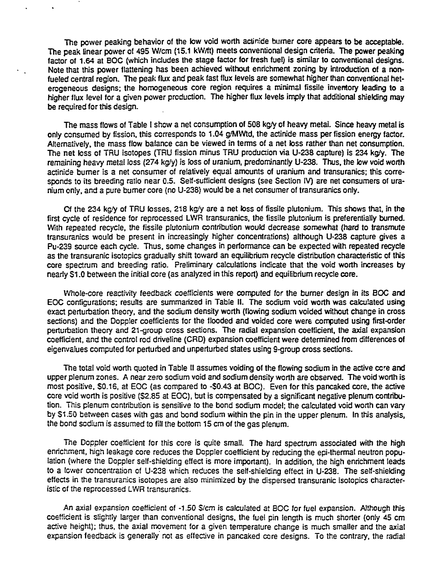The power peaking behavior of the low void worth actinide burner core appears to be acceptable. The peak linear power of 495 W/cm (15.1 kW/ft) meets conventional design criteria. The power peaking factor of 1.64 at BOC (which includes the stage factor for fresh fuel) is similar to conventional designs. Note that this power flattening has been achieved without enrichment zoning by introduction of a nonfueled central region. The peak flux and peak fast flux levels are somewhat higher than conventional heterogeneous designs; the homogeneous core region requires a minimal fissile inventory leading to a higher flux level for a given power production. The higher flux levels imply that additional shielding may be required for this design.

The mass flows of Table I show a net consumption of 508 kg/y of heavy metai. Since heavy metal is only consumed by fission, this corresponds to 1.04 g/MWtd, the actinide mass per fission energy factor. Alternatively, the mass flow balance can be viewed in terms of a net toss rather than net consumption. The net loss of TRU isotopes (TRU fission minus TRU production via U-238 capture) is 234 kg/y. The remaining heavy metal loss (274 kg/y) is loss of uranium, predominantly U-238. Thus, the low void worth actinide burner is a net consumer of relatively equal amounts of uranium and transuranics; this corresponds to its breeding ratio near 0.5. Self-sufficient designs (see Section IV) are net consumers of uranium only, and a pure burner core (no U-238) would be a net consumer of transuranics only.

Cf the 234 kg'y of TRU losses, 218 kg/y are a net loss of fissile plutonium. This shows that, in the first cycle of residence for reprocessed LWR transuranics, the fissile plutonium is preferentially burned. With repeated recycle, the fissile plutonium contribution would decrease somewhat (hard to transmute transuranics would be present in increasingly higher concentrations) although U-238 capture gives a Pu-239 source each cycle. Thus, some changes in performance can be expected with repeated recycle as the transuranic isotopics gradually shift toward an equilibrium recycle distribut'on characteristic of this core spectrum and breeding ratio. Preliminary calculations indicate that the void worth increases by nearly \$1.0 between the initial core (as analyzed in this report) and equilibrium recycle core.

Whole-core reactivity feedback coefficients were computed for the burner design in its BOC and EOC configurations; results are summarized in Table II. The sodium void worth was calculated using exact perturbation theory, and the sodium density worth (flowing sodium voided without change in cross secfions) and the Doppler coefficients for the flooded and voided core were computed using first-order perturbation theory and 21-group cross sections. The radial expansion coefficient, the axial expansion coefficient, and the control rod driveline (CRD) expansion coefficient were determined from differences of eigenvalues computed for perturbed and unperturbed states using 9-group cross sections.

The total void worth quoted in Table II assumes voiding of the flowing sodium in the active core and upper plenum zones. A near zero sodium void and sodium density worth are observed. The void worth is most positive, \$0.16, at EOC (as compared to -\$0.43 at BOC}. Even for this pancaked core, the active core void worth is positive (\$2.85 at EOC), but is compensated by a significant negative plenum contribution. This plenum contribution is sensitive to the bond sodium model; the calculated void worth can vary by \$1.50 between cases with gas and bond sodium within the pin in the upper plenum. In this analysis, the bond sodium is assumed to fill the bottom 15 cm of the gas plenum.

The Doppler coefficient for this core is quite small. The hard spectrum associated with the high enrichment, high leakage core reduces the Doppler coefficient by reducing the epi-thermal neutron population (where the Doppler self-shielding effect is more important). In addition, the high enrichment leads to a lower concentration of U-238 which reduces the self-shielding effect in U-238. The self-shielding effects in the transuranics isotopes are also minimized by the dispersed transuranic isotopics characteristic of the reprocessed LWR transuranics.

An axial expansion coefficient of -1.50 \$/cm is calculated at BOC for fuel expansion. Although this coefficient is slightly larger than conventional designs, the fuel pin length is much shorter (only 45 cm active height); thus, the axial movement for a given temperature change is much smaller and the axial expansion feedback is generally not as effective in pancaked core designs. To the contrary, the radial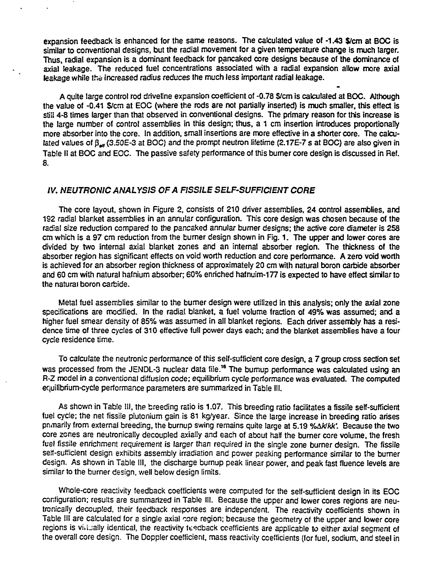expansion feedback is enhanced for the same reasons. The calculated value of **-1.43** \$/cm at BOC is similar to conventional designs, but the radial movement for a given temperature change is much larger. Thus, radial expansion is a dominant feedback for pancaked core designs because of the dominance of axial leakage. The reduced fuel concentrations associated with a radial expansion allow more axial leakage while the increased radius reduces the much less important radial leakage.

A quite large control rod driveline expansion coefficient of -0.78 \$/cm is calculated at BOC. Although the value of -0.41 \$/cm at EOC (where the rods are not partially inserted) is much smaller, this effect is stiti 4-8 times larger than that observed in conventional designs. The primary reason for this increase is the large number of control assemblies in this design; thus, a 1 cm insertion introduces proportionally more absorber into the core. In addition, small insertions are more effective in a shorter core. The calculated values of  $\beta_{av}$  (3.50E-3 at BOC) and the prompt neutron lifetime (2.17E-7 s at BOC) are also given in Table II at BOC and EOC. The passive safety performance of this burner core design is discussed in Ref. 8.

### **IV. NEUTRONIC ANALYSIS OF A FISSILE SELF-SUFFICIENT CORE**

The core layout, shown in Figure 2, consists of 210 driver assemblies, 24 control assemblies, and 1S2 radial blanket assemblies in an annular configuration. This core design was chosen because of the radial size reduction compared to the pancaked annular burner designs; the active core diameter is 258 cm which is a 97 cm reduction from the burner design shown in Fig. 1. The upper and lower cores are divided by two internal axial blanket zones and an internal absorber region. The thickness of the absorber region has significant effects on void worth reduction and core performance. A zero void worth is achieved for an absorber region thickness of approximately 20 cm with natural boron carbide absorber and 60 cm with natural hafnium absorber; 60% enriched hafnuim-177 is expected to have effect similar to the natural boron carbide.

Metal fuel assemblies similar to the burner design were utilized in this analysis; only the axial zone specifications are modified. In the radial blanket, a fuel volume fraction of 49% was assumed; and a higher fuel smear density of 85% was assumed in all blanket regions. Each driver assembly has a residence time of three cycles of 310 effective full power days each; and the blanket assemblies have a four cycle residence time.

To calculate the neutronic performance of this self-sufficient core design, a 7 group cross section set was processed from the JENDL-3 nuclear data file.<sup>16</sup> The bumup performance was calculated using an R-Z model in a conventional diffusion code; equilibrium cycle performance was evaluated. The computed equilibrium-cycle performance parameters are summarized in Table 111.

As shown in Table 111, the breeding ratio is 1.07. This breeding ratio facilitates a fissile self-sufficient fuel cycle; the net fissile plutonium gain is 81 kg/year. Since the large increase in breeding ratio arises pnmarily from external breeding, the burnup swing remains quite large at 5.19 % Ak/kk'. Because the two core zones are neutronicatly decoupled axially and each of about half the burner core volume, the fresh fuel fissile enrichment requirement is larger than required in the single zone burner design. The fissile self-sufficient design exhibits assembly irradiation and power peaking performance similar to the burner design. As shown in Table III, the discharge burnup peak linear power, and peak fast fluence levels are similar to the burner design, well below design limits.

Whole-core reactivity feedback coefficients were computed for the self-sufficient design in its EOC configuration; results are summarized in Table 111. Because the upper and lower cores regions are neutronically decoupled, their feedback responses are independent. The reactivity coefficients shown in Table 111 are calculated for a single axial core region; because the geometry of the upper and lower core regions is viriually identical, the reactivity feedback coefficients are applicable to either axial segment of the overall core design. The Doppler coefficient, mass reactivity coefficients (for fuel, sodium, and steel in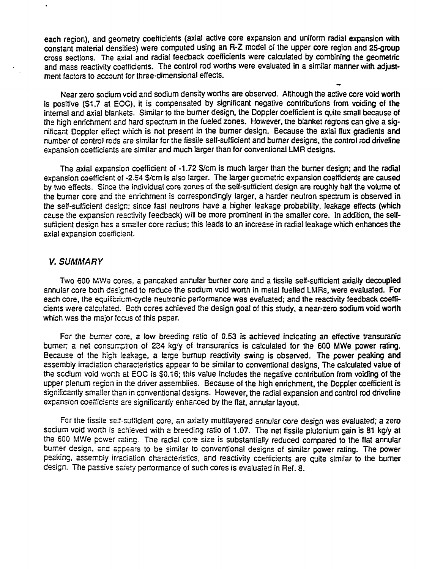each region), and geometry coefficients (axial active core expansion and uniform radial expansion with constant material densities) were computed using an R-Z model of the upper core region and 25-group cross sections. The axial and radial feedback coefficients were calculated by combining the geometric and mass reactivity coefficients. The control rod worths were evaluated in a similar manner with adjustment factors to account for three-dimensional effects.

Near zero sodium void and sodium density worths are observed. Although the active core void worth is positive (\$1.7 at EOC), it is compensated by significant negative contributions from voiding of the internal and axial blankets. Similar to the burner design, the Doppler coefficient is quite small because of the high enrichment and hard spectrum in the fueled zones. However, the blanket regions can give a significant Doppler effect which is not present in the burner design. Because the axial flux gradients and number of control rods are similar for the fissile self-sufficient and burner designs, the control rod driveline expansion coefficients are similar and much larger than for conventional LMR designs.

The axial expansion coefficient of -1.72 \$/cm is much larger than the burner design; and the radial expansion coefficient of -2.54 \$/cm is also larger. The larger geometric expansion coefficients are caused by two effects. Since the individual core zones of the self-sufficient design are roughly harf the volume of the burner core and the enrichment is correspondingly larger, a harder neutron spectrum is observed in the self-sufficient design; since fast neutrons have a higher leakage probability, leakage effects (which cause the expansion reactivity feedback) will be more prominent in the smaller core. In addition, the selfsufficient design has a smaller core radius; this leads to an increase in radial leakage which enhances the axial expansion coefficient.

### V. SUMMARY

Two 600 MWe cores, a pancaked annular burner core and a fissile self-sufficient axiaily decoupled annular core both designed to reduce the sodium void worth in metal fuelled LMRs, were evaluated. For each core, the equilibrium-cycle neutronic performance was evaluated; and the reactivity feedback coefficients were calculated. Both cores achieved the design goal of this study, a near-zero sodium void worth which was the major fccus of this paper.

For the burner core, a low breeding ratio of 0.53 is achieved indicating an effective transuranic burner; a net consumption of 234 kg/y of transuranics is calculated for the 600 MWe power rating. Because of the high leakage, a large burnup reactivity swing is observed. The power peaking and assembly irradiation characteristics appear to be similar to conventional designs, The calculated value of the sodium void worth at EOC is \$0.16; this value includes the negative contribution from voiding of the upper plenum region in the driver assemblies. Because of the high enrichment, the Doppler coefficient is significantly smaller than in conventional designs. However, the radial expansion and control rod driveline expansion coefficients are significantly enhanced by the flat, annular layout.

For the fissile seif-sufficient core, an axially multilayered annular core design was evaluated; a zero sodium void worth is achieved with a breeding ratio of 1.07. The net fissile plutonium gain is 81 kg/y at the 600 MWe power rating. The radial core size is substantially reduced compared to the flat annular burner design, and appears to be similar to conventional designs of similar power rating. The power peaking, assembly irradiation characteristics, and reactivity coefficients are quite similar to the burner design. The passive safety performance of such cores is evaluated in Ref. 8.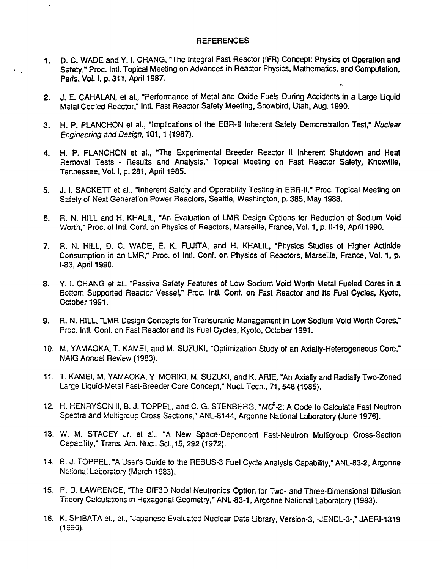### **REFERENCES**

- 1. D. C. WADE and Y. I. CHANG, "The Integral Fast Reactor (IFR) Concept: Physics of Operation and Safety," Proc. Intl. Topical Meeting on Advances in Reactor Physics, Mathematics, and Computation, Paris. Vol. I, p. 311, April 1987.
- 2. J. E. CAHALAN, et al., "Performance of Metal and Oxide Fuels During Accidents in a Large Liquid Metal Cooted Reactor," Intl. Fast Reactor Safety Meeting, Snowbird, Utah, Aug. 1990.
- 3. H. P. PLANCHON et al., "Implications of the EBR-ll Inherent Safety Demonstration Test," Nuclear Engineering and Design, 101,1 (1987).
- 4. H. P. PLANCHON et al., "The Experimental Breeder Reactor II Inherent Shutdown and Heat Removal Tests - Results and Analysis," Topical Meeting on Fast Reactor Safety, Knoxville, Tennessee. Vol. I, p. 281, April 1985.
- 5. J. I. SACKETT et al., "Inherent Safety and Operability Testing in EBR-II," Proc. Topical Meeting on Safety of Next Generation Power Reactors, Seattle, Washington, p. 385, May 1988.
- 6. R. N. HILL and H. KHALIL, "An Evaluation of LMR Design Options for Reduction of Sodium Void Worth," Proc. of Intl. Conf. on Physics of Reactors, Marseille, France, Vol. 1, p. 11-19, April 1990.
- 7. R. N. HILL, D. C. WADE. E. K. FUJITA, and H. KHALIL, "Physics Studies of Higher Actinide Consumption in an LMR," Proc. of Intl. Conf. on Physics of Reactors, Marseille, France, Vol. 1, p. 1-83, April 1S90.
- 8. Y. I. CHANG et al., "Passive Safety Features of Low Sodium Void Worth Metal Fueled Cores in a Ecttom Supported Reactor Vessel," Proc. Intl. Conf. on Fast Reactor and Its Fuel Cycles, Kyoto, October 1991.
- 9. R. N. HILL, "LMR Design Concepts for Transuranic Management in Low Sodium Void Worth Cores," Proc. Intl. Conf. on Fast Reactor and Its Fuel Cycles, Kyoto, October 1991.
- 10. M. YAMAOKA, T. KAMEI, and M. SUZUKI, "Optimization Study of an Axially-Heterogeneous Core," NAIG Annual Review (1983).
- 11. T. KAMEI. M. YAMAOKA, Y. MORIKI, M. SUZUKI, and K. ARIE, "An Axially and Radially Two-Zoned Large Liquid-Metal Fast-Breeder Core Concept," Nucl. Tech., 71,548 (1985).
- 12. H. HENRYSON II, B. J. TOPPEL, and C. G. STENBERG, "MC<sup>2</sup>-2: A Code to Calculate Fast Neutron Spectra and Muitigrcup Cross Sections," ANL-8144, Argonne National Laboratory (June 1976).
- 13. W. M. STACEY Jr. et al.. "A New Space-Dependent Fast-Neutron Multigroup Cross-Section Capability," Trans. Am. Nucl. Sci.,15, 292 (1972).
- 14. B. J. TOPPEL, "A Usefs Guide to the RE3US-3 Fuel Cycle Analysis Capability," ANL-83-2, Argonne National Laboratory (March 1983).
- 15. R. D. LAWRENCE. The DIF3D Nodal Neutronics Option for Two- and Three-Dimensional Diffusion Theory Calculations in Hexagonal Geometry," ANL-83-1, Argonne National Laboratory (1983).
- 16. K. SHIBATA et.. al., "Japanese Evaluated Nuclear Data Library, Version-3, -JENDL-3-." JAERI-1319 (1S30).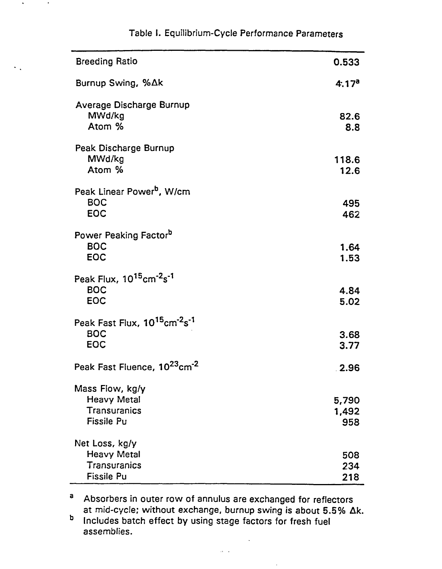| <b>Breeding Ratio</b>                                                                         | 0.533                 |
|-----------------------------------------------------------------------------------------------|-----------------------|
| Burnup Swing, %∆k                                                                             | 4.17 <sup>a</sup>     |
| Average Discharge Burnup<br>MWd/kg<br>Atom %                                                  | 82.6<br>8.8           |
| Peak Discharge Burnup<br>MWd/kg<br>Atom %                                                     | 118.6<br>12.6         |
| Peak Linear Power <sup>b</sup> , W/cm<br><b>BOC</b><br><b>EOC</b>                             | 495<br>462            |
| Power Peaking Factorb<br><b>BOC</b><br><b>EOC</b>                                             | 1.64<br>1.53          |
| Peak Flux, 10 <sup>15</sup> cm <sup>-2</sup> s <sup>-1</sup><br><b>BOC</b><br><b>EOC</b>      | 4.84<br>5.02          |
| Peak Fast Flux, 10 <sup>15</sup> cm <sup>-2</sup> s <sup>-1</sup><br><b>BOC</b><br><b>EOC</b> | 3.68<br>3.77          |
| Peak Fast Fluence, 10 <sup>23</sup> cm <sup>-2</sup>                                          | 2.96                  |
| Mass Flow, kg/y<br><b>Heavy Metal</b><br>Transuranics<br><b>Fissile Pu</b>                    | 5,790<br>1,492<br>958 |
| Net Loss, kg/y<br><b>Heavy Metal</b><br><b>Transuranics</b><br><b>Fissile Pu</b>              | 508<br>234<br>218     |

# Table I. Equilibrium-Cycle Performance Parameters

 $\mathcal{F}_{\mathcal{A}}$ 

3 Absorbers in outer row of annulus are exchanged for reflectors at mid-cycle; without exchange, burnup swing is about 5.5% Ak.

b Includes batch effect by using stage factors for fresh fuel assemblies.

 $\Delta\lambda=0.1$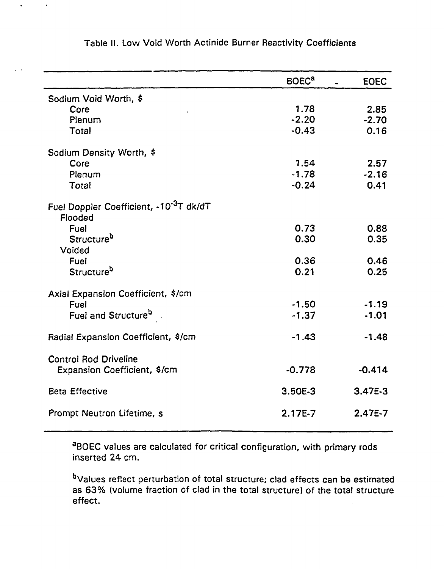|                                                                | <b>BOEC<sup>a</sup></b> | <b>EOEC</b> |
|----------------------------------------------------------------|-------------------------|-------------|
| Sodium Void Worth, \$                                          |                         |             |
| Core                                                           | 1.78                    | 2.85        |
| Plenum                                                         | $-2.20$                 | $-2.70$     |
| <b>Total</b>                                                   | $-0.43$                 | 0.16        |
| Sodium Density Worth, \$                                       |                         |             |
| Core                                                           | 1.54                    | 2.57        |
| Plenum                                                         | $-1.78$                 | $-2.16$     |
| Total                                                          | $-0.24$                 | 0.41        |
| Fuel Doppler Coefficient, -10 <sup>-3</sup> T dk/dT<br>Flooded |                         |             |
| Fuel                                                           | 0.73                    | 0.88        |
| Structure <sup>b</sup>                                         | 0.30                    | 0.35        |
| Voided                                                         |                         |             |
| Fuel                                                           | 0.36                    | 0.46        |
| Structure <sup>b</sup>                                         | 0.21                    | 0.25        |
| Axial Expansion Coefficient, \$/cm                             |                         |             |
| Fuel                                                           | $-1.50$                 | $-1.19$     |
| Fuel and Structure <sup>b</sup> .                              | $-1.37$                 | $-1.01$     |
|                                                                |                         |             |
| Radial Expansion Coefficient, \$/cm                            | $-1.43$                 | $-1.48$     |
| <b>Control Rod Driveline</b>                                   |                         |             |
| Expansion Coefficient, \$/cm                                   | $-0.778$                | $-0.414$    |
| <b>Beta Effective</b>                                          | 3.50E-3                 | $3.47E-3$   |
|                                                                |                         |             |
| Prompt Neutron Lifetime, s                                     | $2.17E-7$               | $2.47E-7$   |
|                                                                |                         |             |

Table II. Low Void Worth Actinide Burner Reactivity Coefficients

 $\ddot{\phantom{0}}$ 

 $\sim$ 

 $\mathbf{r}$ 

aBOEC values are calculated for critical configuration, with primary rods inserted 24 cm.

<sup>b</sup>Values reflect perturbation of total structure; clad effects can be estimated as 63% (volume fraction of clad in the total structure) of the total structure effect.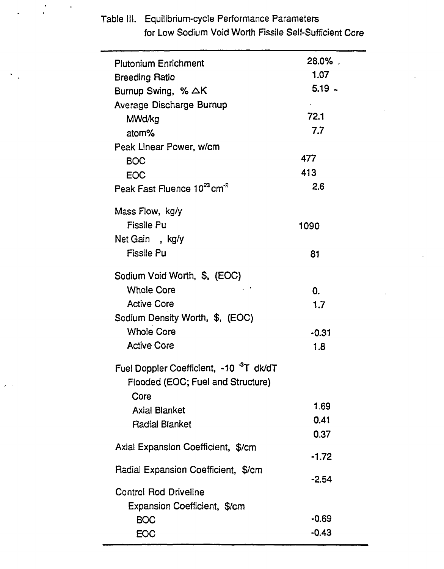| <b>Plutonium Enrichment</b>                         | 28.0%.   |
|-----------------------------------------------------|----------|
| <b>Breeding Ratio</b>                               | 1.07     |
| Burnup Swing, % $\triangle K$                       | $5.19 -$ |
| Average Discharge Burnup                            |          |
| MWd/kg                                              | 72.1     |
| atom%                                               | 7.7      |
| Peak Linear Power, w/cm                             |          |
| <b>BOC</b>                                          | 477      |
| <b>EOC</b>                                          | 413      |
| Peak Fast Fluence 10 <sup>23</sup> cm <sup>-2</sup> | 2.6      |
| Mass Flow, kg/y                                     |          |
| <b>Fissile Pu</b>                                   | 1090     |
| Net Gain, kg/y                                      |          |
| <b>Fissile Pu</b>                                   | 81       |
| Sodium Void Worth, \$, (EOC)                        |          |
| <b>Whole Core</b>                                   | 0.       |
| <b>Active Core</b>                                  | 1.7      |
| Sodium Density Worth, \$, (EOC)                     |          |
| <b>Whole Core</b>                                   | $-0.31$  |
| <b>Active Core</b>                                  | 1.8      |
| Fuel Doppler Coefficient, -10 <sup>3</sup> T dk/dT  |          |
| Flooded (EOC; Fuel and Structure)                   |          |
| Core                                                |          |
| <b>Axial Blanket</b>                                | 1.69     |
| <b>Radial Blanket</b>                               | 0.41     |
|                                                     | 0.37     |
| Axial Expansion Coefficient, \$/cm                  | $-1.72$  |
| Radial Expansion Coefficient, \$/cm                 |          |
|                                                     | $-2.54$  |
| <b>Control Rod Driveline</b>                        |          |
| Expansion Coefficient, \$/cm                        |          |
| <b>BOC</b>                                          | $-0.69$  |
| <b>EOC</b>                                          | $-0.43$  |

Table III. Equilibrium-cycle Performance Parameters for Low Sodium Void Worth Fissile Self-Sufficient Core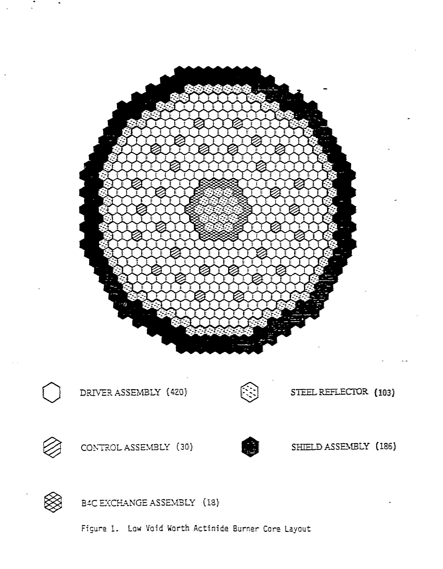